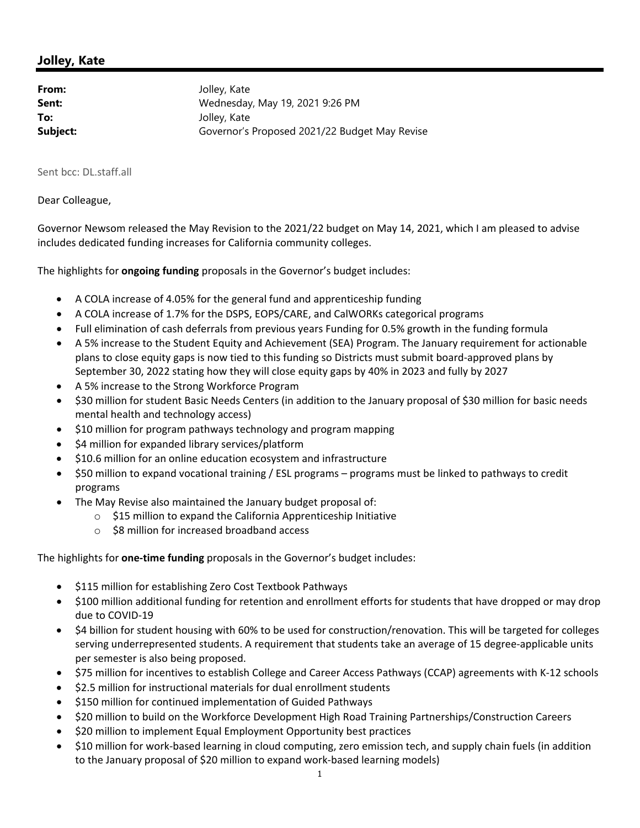## **Jolley, Kate**

| From:    | Jolley, Kate                                  |
|----------|-----------------------------------------------|
| Sent:    | Wednesday, May 19, 2021 9:26 PM               |
| To:      | Jolley, Kate                                  |
| Subject: | Governor's Proposed 2021/22 Budget May Revise |

Sent bcc: DL.staff.all

## Dear Colleague,

Governor Newsom released the May Revision to the 2021/22 budget on May 14, 2021, which I am pleased to advise includes dedicated funding increases for California community colleges.

The highlights for **ongoing funding** proposals in the Governor's budget includes:

- A COLA increase of 4.05% for the general fund and apprenticeship funding
- A COLA increase of 1.7% for the DSPS, EOPS/CARE, and CalWORKs categorical programs
- Full elimination of cash deferrals from previous years Funding for 0.5% growth in the funding formula
- A 5% increase to the Student Equity and Achievement (SEA) Program. The January requirement for actionable plans to close equity gaps is now tied to this funding so Districts must submit board‐approved plans by September 30, 2022 stating how they will close equity gaps by 40% in 2023 and fully by 2027
- A 5% increase to the Strong Workforce Program
- \$30 million for student Basic Needs Centers (in addition to the January proposal of \$30 million for basic needs mental health and technology access)
- \$10 million for program pathways technology and program mapping
- \$4 million for expanded library services/platform
- $\bullet$  \$10.6 million for an online education ecosystem and infrastructure
- \$50 million to expand vocational training / ESL programs programs must be linked to pathways to credit programs
- The May Revise also maintained the January budget proposal of:
	- o \$15 million to expand the California Apprenticeship Initiative
	- o \$8 million for increased broadband access

The highlights for **one‐time funding** proposals in the Governor's budget includes:

- \$115 million for establishing Zero Cost Textbook Pathways
- \$100 million additional funding for retention and enrollment efforts for students that have dropped or may drop due to COVID‐19
- \$4 billion for student housing with 60% to be used for construction/renovation. This will be targeted for colleges serving underrepresented students. A requirement that students take an average of 15 degree-applicable units per semester is also being proposed.
- \$75 million for incentives to establish College and Career Access Pathways (CCAP) agreements with K-12 schools
- \$2.5 million for instructional materials for dual enrollment students
- $\bullet$  \$150 million for continued implementation of Guided Pathways
- \$20 million to build on the Workforce Development High Road Training Partnerships/Construction Careers
- \$20 million to implement Equal Employment Opportunity best practices
- \$10 million for work‐based learning in cloud computing, zero emission tech, and supply chain fuels (in addition to the January proposal of \$20 million to expand work‐based learning models)